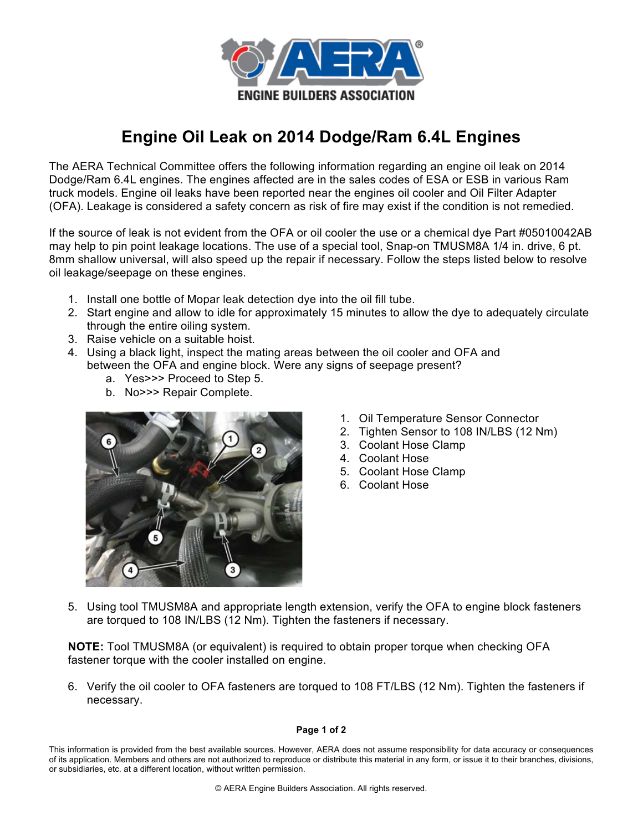

## **Engine Oil Leak on 2014 Dodge/Ram 6.4L Engines**

The AERA Technical Committee offers the following information regarding an engine oil leak on 2014 Dodge/Ram 6.4L engines. The engines affected are in the sales codes of ESA or ESB in various Ram truck models. Engine oil leaks have been reported near the engines oil cooler and Oil Filter Adapter (OFA). Leakage is considered a safety concern as risk of fire may exist if the condition is not remedied.

If the source of leak is not evident from the OFA or oil cooler the use or a chemical dye Part #05010042AB may help to pin point leakage locations. The use of a special tool, Snap-on TMUSM8A 1/4 in. drive, 6 pt. 8mm shallow universal, will also speed up the repair if necessary. Follow the steps listed below to resolve oil leakage/seepage on these engines.

- 1. Install one bottle of Mopar leak detection dye into the oil fill tube.
- 2. Start engine and allow to idle for approximately 15 minutes to allow the dye to adequately circulate through the entire oiling system.
- 3. Raise vehicle on a suitable hoist.
- 4. Using a black light, inspect the mating areas between the oil cooler and OFA and between the OFA and engine block. Were any signs of seepage present?
	- a. Yes>>> Proceed to Step 5.
	- b. No>>> Repair Complete.



- 1. Oil Temperature Sensor Connector
- 2. Tighten Sensor to 108 IN/LBS (12 Nm)
- 3. Coolant Hose Clamp
- 4. Coolant Hose
- 5. Coolant Hose Clamp
- 6. Coolant Hose

5. Using tool TMUSM8A and appropriate length extension, verify the OFA to engine block fasteners are torqued to 108 IN/LBS (12 Nm). Tighten the fasteners if necessary.

**NOTE:** Tool TMUSM8A (or equivalent) is required to obtain proper torque when checking OFA fastener torque with the cooler installed on engine.

6. Verify the oil cooler to OFA fasteners are torqued to 108 FT/LBS (12 Nm). Tighten the fasteners if necessary.

## **Page 1 of 2**

This information is provided from the best available sources. However, AERA does not assume responsibility for data accuracy or consequences of its application. Members and others are not authorized to reproduce or distribute this material in any form, or issue it to their branches, divisions, or subsidiaries, etc. at a different location, without written permission.